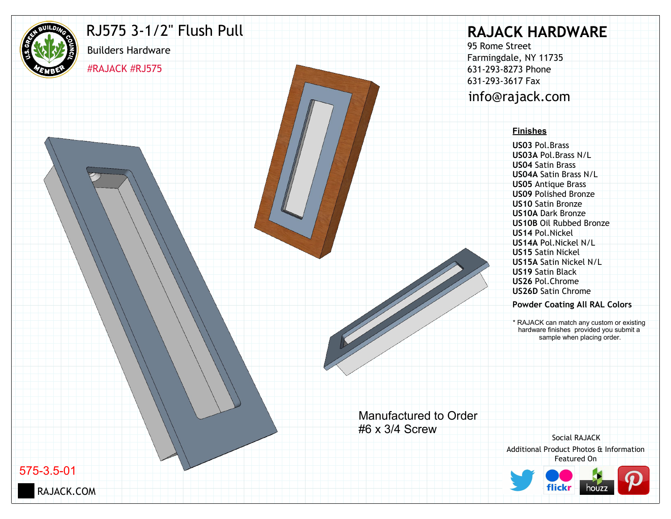

## RJ575 3-1/2" Flush Pull

#RAJACK #RJ575

Builders Hardware

# **RAJACK HARDWARE**

95 Rome Street Farmingdale, NY 11735 631-293-8273 Phone 631-293-3617 Fax info@rajack.com

#### **Finishes**

**US03** Pol.Brass **US03A** Pol.Brass N/L **US04** Satin Brass **US04A** Satin Brass N/L **US05** Antique Brass **US09** Polished Bronze **US10** Satin Bronze **US10A** Dark Bronze **US10B** Oil Rubbed Bronze **US14** Pol.Nickel **US14A** Pol.Nickel N/L **US15** Satin Nickel **US15A** Satin Nickel N/L **US19** Satin Black **US26** Pol.Chrome **US26D** Satin Chrome

#### **Powder Coating All RAL Colors**

\* RAJACK can match any custom or existing hardware finishes provided you submit a sample when placing order.

Manufactured to Order #6 x 3/4 Screw

Additional Product Photos & Information Featured On Social RAJACK



575-3.5-01

RAJACK.COM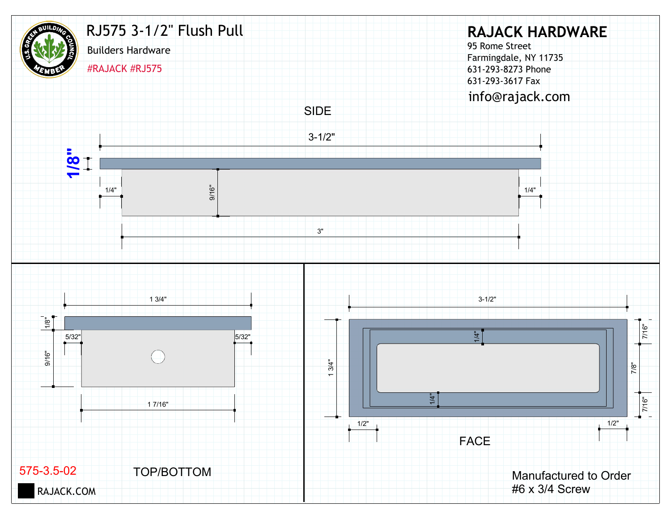